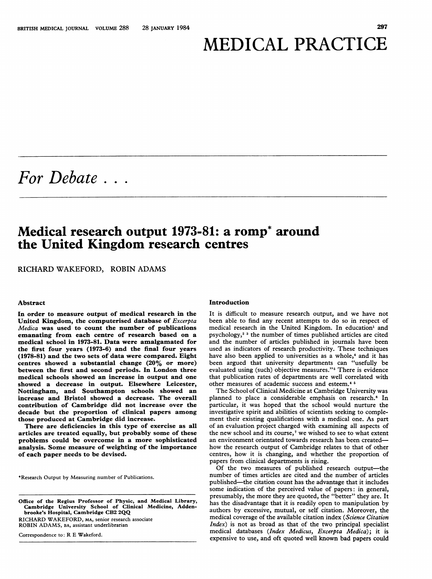# MEDICAL PRACTICE

For Debate . . .

## Medical research output 1973-81: a romp\* around the United Kingdom research centres

RICHARD WAKEFORD, ROBIN ADAMS

### Abstract

In order to measure output of medical research in the United Kingdom, the computerised database of Excerpta Medica was used to count the number of publications emanating from each centre of research based on a medical school in 1973-81. Data were amalgamated for the first four years (1973-6) and the final four years (1978-81) and the two sets of data were compared. Eight centres showed a substantial change (20% or more) between the first and second periods. In London three medical schools showed an increase in output and one showed a decrease in output. Elsewhere Leicester, Nottingham, and Southampton schools showed an increase and Bristol showed a decrease. The overall contribution of Cambridge did not increase over the decade but the proportion of clinical papers among those produced at Cambridge did increase.

There are deficiencies in this type of exercise as all articles are treated equally, but probably some of these problems could be overcome in a more sophisticated analysis. Some measure of weighting of the importance of each paper needs to be devised.

\*Research Output by Measuring number of Publications.

Office of the Regius Professor of Physic, and Medical Library, Cambridge University School of Clinical Medicine, Adden-brooke's Hospital, Cambridge CB2 2QQ

RICHARD WAKEFORD, MA, senior research associate ROBIN ADAMS, BA, assistant underlibrarian

Correspondence to: R E Wakeford.

#### Introduction

It is difficult to measure research output, and we have not been able to find any recent attempts to do so in respect of medical research in the United Kingdom. In education' and psychology,2 <sup>3</sup> the number of times published articles are cited and the number of articles published in journals have been used as indicators of research productivity. These techniques have also been applied to universities as a whole,<sup>4</sup> and it has been argued that university departments can "usefully be evaluated using (such) objective measures."5 There is evidence that publication rates of departments are well correlated with other measures of academic success and esteem.<sup>45</sup>

The School of Clinical Medicine at Cambridge University was planned to place a considerable emphasis on research.<sup>6</sup> In particular, it was hoped that the school would nurture the investigative spirit and abilities of scientists seeking to complement their existing qualifications with a medical one. As part of an evaluation project charged with examining all aspects of the new school and its course,<sup>7</sup> we wished to see to what extent an environment orientated towards research has been createdhow the research output of Cambridge relates to that of other centres, how it is changing, and whether the proportion of papers from clinical departments is rising.

Of the two measures of published research output-the number of times articles are cited and the number of articles published-the citation count has the advantage that it includes some indication of the perceived value of papers: in general, presumably, the more they are quoted, the "better" they are. It has the disadvantage that it is readily open to manipulation by authors by excessive, mutual, or self citation. Moreover, the medical coverage of the available citation index (Science Citation  $Index$ ) is not as broad as that of the two principal specialist medical databases (Index Medicus, Excerpta Medica); it is expensive to use, and oft quoted well known bad papers could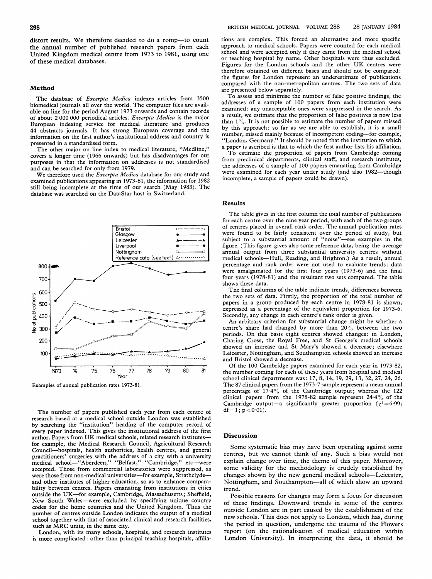#### Method

The database of Excerpta Medica indexes articles from 3500 biomedical journals all over the world. The computer files are available on line for the period August 1973 onwards and contain records of about 2 000 000 periodical articles. Excerpta Medica is the major European indexing service for medical literature and produces 44 abstracts journals. It has strong European coverage and the information on the first author's institutional address and country is presented in a standardised form.

The other major on line index to medical literature, "Medline," covers a longer time (1966 onwards) but has disadvantages for our purposes in that the information on addresses is not standardised and can be searched for only from 1979.

We therefore used the Excerpta Medica database for our study and examined publications appearing in 1973-81, the information for 1982 still being incomplete at the time of our search (May 1983). The database was searched on the DataStar host in Switzerland.



Examples of annual publication rates 1973-81.

The number of papers published each year from each centre of  $df=1$ ;  $p<0.01$ ). research based at a medical school outside London was established by searching the "institution" heading of the computer record of every paper indexed. This gives the institutional <sup>a</sup> ddress of the first author. Papers from UK medical schools, related research institutes- Discussion for example, the Medical Research Council, Agr icultural Research Council-hospitals, health authorities, health centres, and general practitioners' surgeries with the address of a city<br>medical school—"Aberdeen," "Belfast," "Cambr accepted. Those from commercial laboratories were suppressed, as were those from non-medical universities-for example, Strathclydeand other institutes of higher education, so as to enhance comparability between centres. Papers emanating from institutions in cities trend. outside the UK-for example, Cambridge, Massachusetts; Sheffield, New South Wales-were excluded by specifying unique country codes for the home countries and the United Kingdom. Thus the number of centres outside London indicates the output of a medical school together with that of associated clinical and research facilities, such as MRC units, in the same city.

London, with its many schools, hospitals, and research institutes is more complicated: other than principal teaching hospitals, affiliations are complex. This forced an alternative and more specific approach to medical schools. Papers were counted for each medical school and were accepted only if they came from the medical school or teaching hospital by name. Other hospitals were thus excluded. Figures for the London schools and the other UK centres were therefore obtained on different bases and should not be compared: the figures for London represent an underestimate of publications compared with the non-metropolitan centres. The two sets of data are presented below separately.

To assess and minimise the number of false positive findings, the addresses of a sample of 100 papers from each institution were examined: any unacceptable ones were suppressed in the search. As <sup>a</sup> result, we estimate that the proportion of false positives is now less than  $1\%$ . It is not possible to estimate the number of papers missed by this approach: so far as we are able to establish, it is <sup>a</sup> small number, missed mainly because of incompetent coding-for example, "London, Germany." It should be noted that the institution to which a paper is ascribed is that to which the first author lists his affiliation.

To estimate the proportion of papers from Cambridge coming from preclinical departments, clinical staff, and research institutes, the addresses of a sample of 100 papers emanating from Cambridge were examined for each year under study (and also 1982-though incomplete, a sample of papers could be drawn).

#### Results

The table gives in the first column the total number of publications for each centre over the nine year period, with each of the two groups  $\overline{\mathcal{L}}$  of centres placed in overall rank order. The annual publication rates were found to be fairly consistent over the period of study, but<br>- - - subject to a substantial amount of "noise"-see examples in the figure. (This figure gives also some reference data, being the average annual output from three substantial university centres without Reference dota (see text)  $\triangle$   $\cdots$   $\triangle$  medical schools-Hull, Reading, and Brighton.) As a result, annual percentage and rank order were not used to evaluate trends: data medical schools—Hull, Reading, and Brighton.) As a result, annual<br>percentage and rank order were not used to evaluate trends: data<br>were amalgamated for the first four years (1973-6) and the final<br>four wears (1979-81) and four years (1978-81) and the resultant two sets compared. The table shows these data.

> The final columns of the table indicate trends, differences between the two sets of data. Firstly, the proportion of the total number of papers in a group produced by each centre in 1978-81 is shown, expressed as a percentage of the equivalent proportion for 1973-6.<br>Secondly, any change in each centre's rank order is given.

> An arbitrary criterion for substantial change might be whether a centre's share had changed by more than  $20\%$  between the two periods. On this basis eight centres showed changes: in London, Charing Cross, the Royal Free, and St George's medical schools showed an increase and St Mary's showed a decrease; elsewhere Leicester, Nottingham, and Southampton schools showed an increase and Bristol showed a decrease.

Of the 100 Cambridge papers examined for each year in 1973-82, 79 80 81 the number coming for each of these years from hospital and medical school clinical departments was: 17, 8, 14, 19, 29, 13, 32, 27, 24, 26. The 87 clinical papers from the 1973-7 sample represent <sup>a</sup> mean annual percentage of  $17.4\%$  of the Cambridge output; whereas the 122 clinical papers from the 1978-82 sample represent  $24.4\%$  of the Cambridge output—a significantly greater proportion ( $\chi^2$  = 6.99; df = 1; p < 0.01).

Some systematic bias may have been operating against some centres, but we cannot think of any. Such a bias would not explain change over time, the theme of this paper. Moreover, some validity for the methodology is crudely established by changes shown by the new general medical schools--Leicester, Nottingham, and Southampton-all of which show an upward

Possible reasons for changes may form a focus for discussion of these findings. Downward trends in some of the centres outside London are in part caused by the establishment of the new schools. This does not apply to London, which has, during the period in question, undergone the trauma of the Flowers report (on the rationalisation of medical education within London University). In interpreting the data, it should be